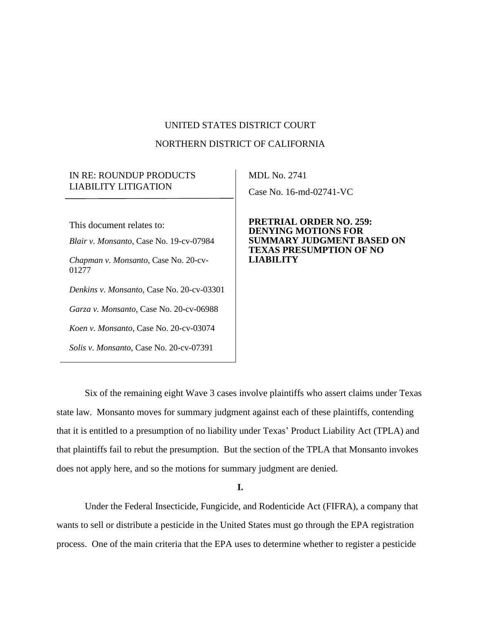## UNITED STATES DISTRICT COURT

#### NORTHERN DISTRICT OF CALIFORNIA

# IN RE: ROUNDUP PRODUCTS LIABILITY LITIGATION

This document relates to: *Blair v. Monsanto*, Case No. 19-cv-07984 *Chapman v. Monsanto*, Case No. 20-cv-01277 *Denkins v. Monsanto*, Case No. 20-cv-03301 *Garza v. Monsanto*, Case No. 20-cv-06988 *Koen v. Monsanto*, Case No. 20-cv-03074 *Solis v. Monsanto*, Case No. 20-cv-07391

MDL No. 2741 Case No. 16-md-02741-VC

**PRETRIAL ORDER NO. 259: DENYING MOTIONS FOR SUMMARY JUDGMENT BASED ON TEXAS PRESUMPTION OF NO LIABILITY**

Six of the remaining eight Wave 3 cases involve plaintiffs who assert claims under Texas state law. Monsanto moves for summary judgment against each of these plaintiffs, contending that it is entitled to a presumption of no liability under Texas' Product Liability Act (TPLA) and that plaintiffs fail to rebut the presumption. But the section of the TPLA that Monsanto invokes does not apply here, and so the motions for summary judgment are denied.

**I.**

Under the Federal Insecticide, Fungicide, and Rodenticide Act (FIFRA), a company that wants to sell or distribute a pesticide in the United States must go through the EPA registration process. One of the main criteria that the EPA uses to determine whether to register a pesticide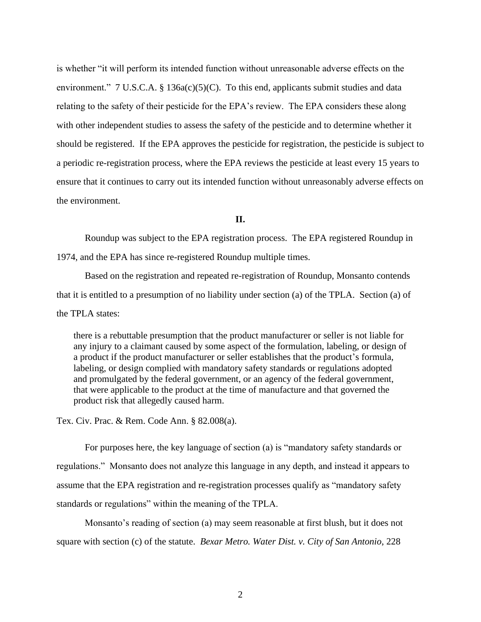is whether "it will perform its intended function without unreasonable adverse effects on the environment."  $7 \text{ U.S.C.A. } § 136a(c)(5)(C)$ . To this end, applicants submit studies and data relating to the safety of their pesticide for the EPA's review. The EPA considers these along with other independent studies to assess the safety of the pesticide and to determine whether it should be registered. If the EPA approves the pesticide for registration, the pesticide is subject to a periodic re-registration process, where the EPA reviews the pesticide at least every 15 years to ensure that it continues to carry out its intended function without unreasonably adverse effects on the environment.

**II.** 

Roundup was subject to the EPA registration process. The EPA registered Roundup in 1974, and the EPA has since re-registered Roundup multiple times.

Based on the registration and repeated re-registration of Roundup, Monsanto contends that it is entitled to a presumption of no liability under section (a) of the TPLA. Section (a) of the TPLA states:

there is a rebuttable presumption that the product manufacturer or seller is not liable for any injury to a claimant caused by some aspect of the formulation, labeling, or design of a product if the product manufacturer or seller establishes that the product's formula, labeling, or design complied with mandatory safety standards or regulations adopted and promulgated by the federal government, or an agency of the federal government, that were applicable to the product at the time of manufacture and that governed the product risk that allegedly caused harm.

Tex. Civ. Prac. & Rem. Code Ann. § 82.008(a).

For purposes here, the key language of section (a) is "mandatory safety standards or regulations." Monsanto does not analyze this language in any depth, and instead it appears to assume that the EPA registration and re-registration processes qualify as "mandatory safety standards or regulations" within the meaning of the TPLA.

Monsanto's reading of section (a) may seem reasonable at first blush, but it does not square with section (c) of the statute. *Bexar Metro. Water Dist. v. City of San Antonio*, 228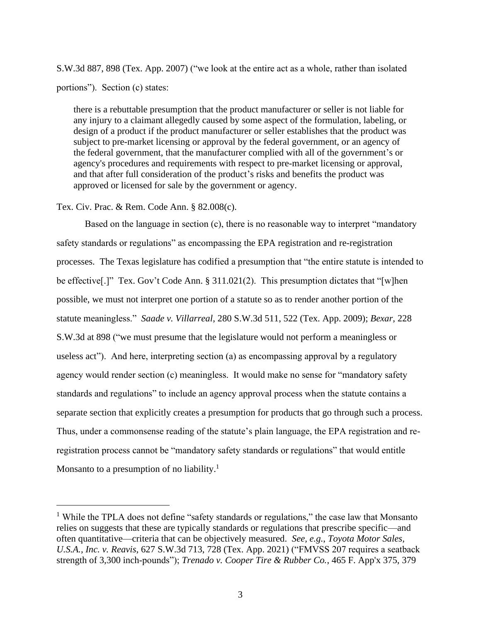S.W.3d 887, 898 (Tex. App. 2007) ("we look at the entire act as a whole, rather than isolated portions"). Section (c) states:

there is a rebuttable presumption that the product manufacturer or seller is not liable for any injury to a claimant allegedly caused by some aspect of the formulation, labeling, or design of a product if the product manufacturer or seller establishes that the product was subject to pre-market licensing or approval by the federal government, or an agency of the federal government, that the manufacturer complied with all of the government's or agency's procedures and requirements with respect to pre-market licensing or approval, and that after full consideration of the product's risks and benefits the product was approved or licensed for sale by the government or agency.

#### Tex. Civ. Prac. & Rem. Code Ann. § 82.008(c).

Based on the language in section (c), there is no reasonable way to interpret "mandatory safety standards or regulations" as encompassing the EPA registration and re-registration processes. The Texas legislature has codified a presumption that "the entire statute is intended to be effective[.]" Tex. Gov't Code Ann. § 311.021(2). This presumption dictates that "[w]hen possible, we must not interpret one portion of a statute so as to render another portion of the statute meaningless." *Saade v. Villarreal*, 280 S.W.3d 511, 522 (Tex. App. 2009); *Bexar*, 228 S.W.3d at 898 ("we must presume that the legislature would not perform a meaningless or useless act"). And here, interpreting section (a) as encompassing approval by a regulatory agency would render section (c) meaningless. It would make no sense for "mandatory safety standards and regulations" to include an agency approval process when the statute contains a separate section that explicitly creates a presumption for products that go through such a process. Thus, under a commonsense reading of the statute's plain language, the EPA registration and reregistration process cannot be "mandatory safety standards or regulations" that would entitle Monsanto to a presumption of no liability.<sup>1</sup>

<sup>&</sup>lt;sup>1</sup> While the TPLA does not define "safety standards or regulations," the case law that Monsanto relies on suggests that these are typically standards or regulations that prescribe specific—and often quantitative—criteria that can be objectively measured. *See, e.g.*, *Toyota Motor Sales, U.S.A., Inc. v. Reavis*, 627 S.W.3d 713, 728 (Tex. App. 2021) ("FMVSS 207 requires a seatback strength of 3,300 inch-pounds"); *Trenado v. Cooper Tire & Rubber Co.*, 465 F. App'x 375, 379